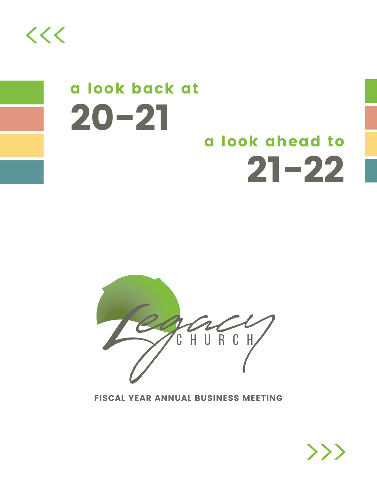

## 20-21 a look back at 21-22 a look ahead to



FISCAL YEAR ANNUAL BUSINESS MEETING

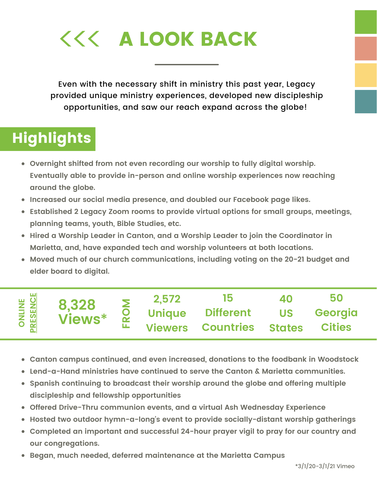#### A LOOK BACK >>>

Even with the necessary shift in ministry this past year, Legacy provided unique ministry experiences, developed new discipleship opportunities, and saw our reach expand across the globe!

## **Highlights**

- **Overnight shifted from not even recording our worship to fully digital worship. Eventually able to provide in-person and online worship experiences now reaching around the globe.**
- **Increased our social media presence, and doubled our Facebook page likes.**
- **Established 2 Legacy Zoom rooms to provide virtual options for small groups, meetings, planning teams, youth, Bible Studies, etc.**
- **Hired a Worship Leader in Canton, and a Worship Leader to join the Coordinator in Marietta, and, have expanded tech and worship volunteers at both locations.**
- **Moved much of our church communications, including voting on the 20-21 budget and elder board to digital.**



**8,328 Views**\* **2,572 Unique Viewers 15 Different Countries 50 Georgia Cities 40 US FStates R O** ∑ ∴

- **Canton campus continued, and even increased, donations to the foodbank in Woodstock**
- **Lend-a-Hand ministries have continued to serve the Canton & Marietta communities.**
- **Spanish continuing to broadcast their worship around the globe and offering multiple discipleship and fellowship opportunities**
- **Offered Drive-Thru communion events, and a virtual Ash Wednesday Experience**
- **Hosted two outdoor hymn-a-long's event to provide socially-distant worship gatherings**
- **Completed an important and successful 24-hour prayer vigil to pray for our country and our congregations.**
- **Began, much needed, deferred maintenance at the Marietta Campus**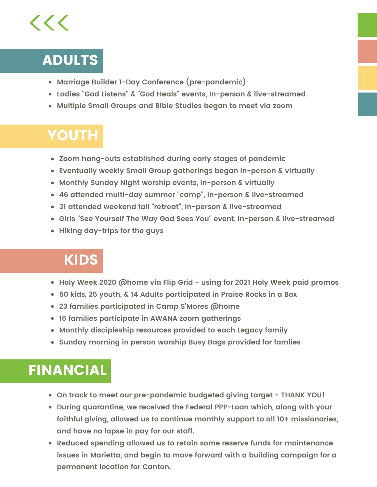# ADULTS

>>>

- **Marriage Builder 1-Day Conference (pre-pandemic)**
- **Ladies "God Listens" & "God Heals" events, In-person & live-streamed**
- **Multiple Small Groups and Bible Studies began to meet via zoom**

#### YOUTH

- **Zoom hang-outs established during early stages of pandemic**
- **Eventually weekly Small Group gatherings began in-person & virtually**
- **Monthly Sunday Night worship events, in-person & virtually**
- **46 attended multi-day summer "camp", in-person & live-streamed**
- **31 attended weekend fall "retreat", in-person & live-streamed**
- **Girls "See Yourself The Way God Sees You" event, in-person & live-streamed**
- **Hiking day-trips for the guys**

#### KIDS

- **Holy Week 2020 @home via Flip Grid - using for 2021 Holy Week paid promos**
- **50 kids, 25 youth, & 14 Adults participated in Praise Rocks in a Box**
- **23 families participated in Camp S'Mores @home**
- **16 families participate in AWANA zoom gatherings**
- **Monthly discipleship resources provided to each Legacy family**
- **Sunday morning in person worship Busy Bags provided for famlies**

#### FINANCIAL

- **On track to meet our pre-pandemic budgeted giving target - THANK YOU!**
- **During quarantine, we received the Federal PPP-Loan which, along with your faithful giving, allowed us to continue monthly support to all 10+ missionaries, and have no lapse in pay for our staff.**
- **Reduced spending allowed us to retain some reserve funds for maintenance issues in Marietta, and begin to move forward with a building campaign for a permanent location for Canton.**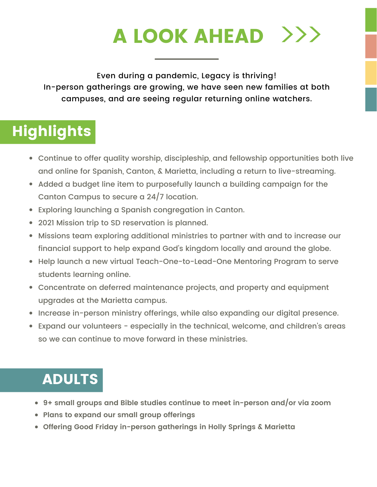#### A LOOK AHEAD >>>

Even during a pandemic, Legacy is thriving! In-person gatherings are growing, we have seen new families at both campuses, and are seeing regular returning online watchers.

## **Highlights**

- Continue to offer quality worship, discipleship, and fellowship opportunities both live and online for Spanish, Canton, & Marietta, including a return to live-streaming.
- Added a budget line item to purposefully launch a building campaign for the Canton Campus to secure a 24/7 location.
- Exploring launching a Spanish congregation in Canton.
- 2021 Mission trip to SD reservation is planned.
- Missions team exploring additional ministries to partner with and to increase our financial support to help expand God's kingdom locally and around the globe.
- Help launch a new virtual Teach-One-to-Lead-One Mentoring Program to serve students learning online.
- Concentrate on deferred maintenance projects, and property and equipment upgrades at the Marietta campus.
- Increase in-person ministry offerings, while also expanding our digital presence.
- Expand our volunteers especially in the technical, welcome, and children's areas so we can continue to move forward in these ministries.

#### ADULTS

- **9+ small groups and Bible studies continue to meet in-person and/or via zoom**
- **Plans to expand our small group offerings**
- **Offering Good Friday in-person gatherings in Holly Springs & Marietta**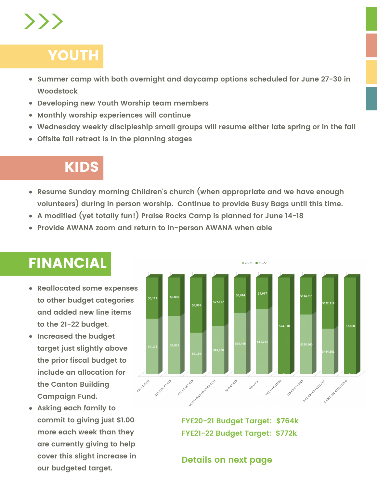

### YOUTH

- **Summer camp with both overnight and daycamp options scheduled for June 27-30 in Woodstock**
- **Developing new Youth Worship team members**
- **Monthly worship experiences will continue**
- **Wednesday weekly discipleship small groups will resume either late spring or in the fall**
- **Offsite fall retreat is in the planning stages**

#### KIDS

- **Resume Sunday morning Children's church (when appropriate and we have enough volunteers) during in person worship. Continue to provide Busy Bags until this time.**
- **A modified (yet totally fun!) Praise Rocks Camp is planned for June 14-18**
- **Provide AWANA zoom and return to in-person AWANA when able**

### FINANCIAL

- **Reallocated some expenses to other budget categories and added new line items to the 21-22 budget.**
- **Increased the budget target just slightly above the prior fiscal budget to include an allocation for the Canton Building Campaign Fund.**
- **Asking each family to commit to giving just \$1.00 more each week than they are currently giving to help cover this slight increase in our budgeted target.**



**FYE20-21 Budget Target: \$764k FYE21-22 Budget Target: \$772k**

**Details on next page**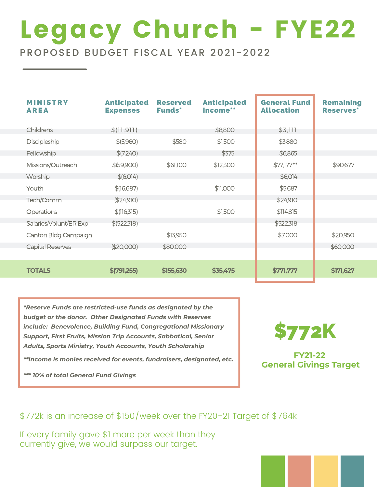# Legacy Church - FYE22

PROPOSED BUDGET FISCAL YEAR 2021-2022

| <b>MINISTRY</b><br><b>AREA</b> | <b>Anticipated</b><br><b>Expenses</b> | <b>Reserved</b><br><b>Funds*</b> | <b>Anticipated</b><br>Income** | <b>General Fund</b><br><b>Allocation</b> | <b>Remaining</b><br>Reserves* |
|--------------------------------|---------------------------------------|----------------------------------|--------------------------------|------------------------------------------|-------------------------------|
| <b>Childrens</b>               | \$(11, 911)                           |                                  | \$8,800                        | \$3,111                                  |                               |
| Discipleship                   | \$ (5,960)                            | \$580                            | \$1,500                        | \$3,880                                  |                               |
| Fellowship                     | \$(7,240)                             |                                  | \$375                          | \$6,865                                  |                               |
| Missions/Outreach              | \$ (59,900)                           | \$61,100                         | \$12,300                       | $$77,177***$                             | \$90,677                      |
| Worship                        | \$ (6,0]4)                            |                                  |                                | \$6,014                                  |                               |
| Youth                          | \$(16,687)                            |                                  | \$11,000                       | \$5,687                                  |                               |
| Tech/Comm                      | (\$24,910)                            |                                  |                                | \$24,910                                 |                               |
| Operations                     | \$(116,315)                           |                                  | \$1,500                        | \$114,815                                |                               |
| Salaries/Volunt/ER Exp         | \$ (522, 318)                         |                                  |                                | \$522,318                                |                               |
| Canton Bldg Campaign           |                                       | \$13,950                         |                                | \$7,000                                  | \$20,950                      |
| <b>Capital Reserves</b>        | (\$20,000)                            | \$80,000                         |                                |                                          | \$60,000                      |
| <b>TOTALS</b>                  | \$(791,255)                           | \$155,630                        | \$35,475                       | \$771,777                                | \$171,627                     |

*\*Reserve Funds are restricted-use funds as designated by the budget or the donor. Other Designated Funds with Reserves include: Benevolence, Building Fund, Congregational Missionary Support, First Fruits, Mission Trip Accounts, Sabbatical, Senior Adults, Sports Ministry, Youth Accounts, Youth Scholarship*

*\*\*Income is monies received for events, fundraisers, designated, etc.*

*\*\*\* 10% of total General Fund Givings*



**FY21-22 General Givings Target**

\$772k is an increase of \$150/week over the FY20-21 Target of \$764k

If every family gave \$1 more per week than they currently give, we would surpass our target.